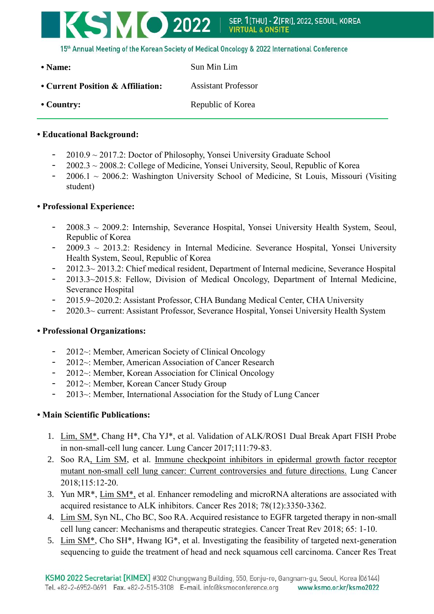

15th Annual Meeting of the Korean Society of Medical Oncology & 2022 International Conference

• Name: Sun Min Lim

**• Current Position & Affiliation:** Assistant Professor • Country: Republic of Korea

## **• Educational Background:**

- $2010.9 \sim 2017.2$ : Doctor of Philosophy, Yonsei University Graduate School
- 2002.3 ~ 2008.2: College of Medicine, Yonsei University, Seoul, Republic of Korea
- $2006.1 \sim 2006.2$ : Washington University School of Medicine, St Louis, Missouri (Visiting student)

## **• Professional Experience:**

- $2008.3 \sim 2009.2$ : Internship, Severance Hospital, Yonsei University Health System, Seoul, Republic of Korea
- $2009.3 \sim 2013.2$ : Residency in Internal Medicine. Severance Hospital, Yonsei University Health System, Seoul, Republic of Korea
- 2012.3~ 2013.2: Chief medical resident, Department of Internal medicine, Severance Hospital
- 2013.3~2015.8: Fellow, Division of Medical Oncology, Department of Internal Medicine, Severance Hospital
- 2015.9~2020.2: Assistant Professor, CHA Bundang Medical Center, CHA University
- 2020.3~ current: Assistant Professor, Severance Hospital, Yonsei University Health System

## **• Professional Organizations:**

- $2012 \sim$ : Member, American Society of Clinical Oncology
- 2012~: Member, American Association of Cancer Research
- 2012~: Member, Korean Association for Clinical Oncology
- 2012~: Member, Korean Cancer Study Group
- 2013~: Member, International Association for the Study of Lung Cancer

## **• Main Scientific Publications:**

- 1. Lim, SM\*, Chang H\*, Cha YJ\*, et al. Validation of ALK/ROS1 Dual Break Apart FISH Probe in non-small-cell lung cancer. Lung Cancer 2017;111:79-83.
- 2. Soo RA, Lim SM, et al. [Immune checkpoint inhibitors in epidermal growth factor receptor](https://www.ncbi.nlm.nih.gov/pubmed/29290252)  [mutant non-small cell lung cancer: Current controversies and future directions.](https://www.ncbi.nlm.nih.gov/pubmed/29290252) Lung Cancer 2018;115:12-20.
- 3. Yun MR\*, Lim SM\*, et al. Enhancer remodeling and microRNA alterations are associated with acquired resistance to ALK inhibitors. Cancer Res 2018; 78(12):3350-3362.
- 4. Lim SM, Syn NL, Cho BC, Soo RA. Acquired resistance to EGFR targeted therapy in non-small cell lung cancer: Mechanisms and therapeutic strategies. Cancer Treat Rev 2018; 65: 1-10.
- 5. Lim SM\*, Cho SH\*, Hwang IG\*, et al. Investigating the feasibility of targeted next-generation sequencing to guide the treatment of head and neck squamous cell carcinoma. Cancer Res Treat